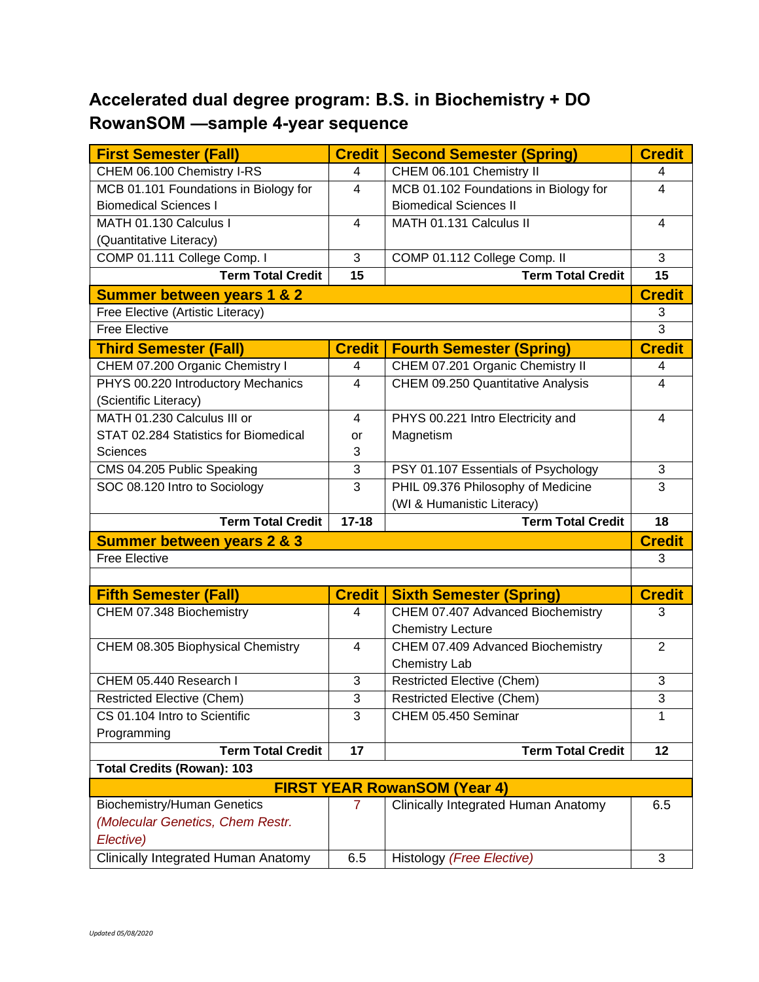## **Accelerated dual degree program: B.S. in Biochemistry + DO RowanSOM —sample 4-year sequence**

| <b>First Semester (Fall)</b>                                       | <b>Credit</b>  | <b>Second Semester (Spring)</b>       | <b>Credit</b>           |  |
|--------------------------------------------------------------------|----------------|---------------------------------------|-------------------------|--|
| CHEM 06.100 Chemistry I-RS                                         | 4              | CHEM 06.101 Chemistry II              | 4                       |  |
| MCB 01.101 Foundations in Biology for                              | 4              | MCB 01.102 Foundations in Biology for | 4                       |  |
| <b>Biomedical Sciences I</b>                                       |                | <b>Biomedical Sciences II</b>         |                         |  |
| MATH 01.130 Calculus I                                             | 4              | MATH 01.131 Calculus II               | 4                       |  |
| (Quantitative Literacy)                                            |                |                                       |                         |  |
| COMP 01.111 College Comp. I                                        | $\overline{3}$ | COMP 01.112 College Comp. II          | 3                       |  |
| <b>Term Total Credit</b>                                           | 15             | <b>Term Total Credit</b>              | 15                      |  |
| <b>Summer between years 1 &amp; 2</b>                              |                |                                       |                         |  |
| Free Elective (Artistic Literacy)                                  |                |                                       |                         |  |
| <b>Free Elective</b>                                               |                |                                       | 3                       |  |
| <b>Third Semester (Fall)</b>                                       | <b>Credit</b>  | <b>Fourth Semester (Spring)</b>       | <b>Credit</b>           |  |
| CHEM 07.200 Organic Chemistry I                                    | 4              | CHEM 07.201 Organic Chemistry II      | 4                       |  |
| PHYS 00.220 Introductory Mechanics                                 | $\overline{4}$ | CHEM 09.250 Quantitative Analysis     | $\overline{\mathbf{4}}$ |  |
| (Scientific Literacy)                                              |                |                                       |                         |  |
| MATH 01.230 Calculus III or                                        | 4              | PHYS 00.221 Intro Electricity and     | 4                       |  |
| STAT 02.284 Statistics for Biomedical                              | or             | Magnetism                             |                         |  |
| <b>Sciences</b>                                                    | 3              |                                       |                         |  |
| CMS 04.205 Public Speaking                                         | 3              | PSY 01.107 Essentials of Psychology   | 3                       |  |
| SOC 08.120 Intro to Sociology                                      | $\overline{3}$ | PHIL 09.376 Philosophy of Medicine    | 3                       |  |
|                                                                    |                | (WI & Humanistic Literacy)            |                         |  |
| <b>Term Total Credit</b>                                           | $17 - 18$      | <b>Term Total Credit</b>              | 18                      |  |
| <b>Summer between years 2 &amp; 3</b>                              |                |                                       |                         |  |
| <b>Free Elective</b>                                               |                |                                       | 3                       |  |
|                                                                    |                |                                       |                         |  |
| <b>Fifth Semester (Fall)</b>                                       | <b>Credit</b>  | <b>Sixth Semester (Spring)</b>        |                         |  |
| CHEM 07.348 Biochemistry                                           |                |                                       | <b>Credit</b>           |  |
|                                                                    | 4              | CHEM 07.407 Advanced Biochemistry     | 3                       |  |
|                                                                    |                | <b>Chemistry Lecture</b>              |                         |  |
| CHEM 08.305 Biophysical Chemistry                                  | $\overline{4}$ | CHEM 07.409 Advanced Biochemistry     | $\overline{2}$          |  |
|                                                                    |                | Chemistry Lab                         |                         |  |
| CHEM 05.440 Research I                                             | 3              | <b>Restricted Elective (Chem)</b>     | 3                       |  |
|                                                                    | 3              | <b>Restricted Elective (Chem)</b>     | 3                       |  |
| <b>Restricted Elective (Chem)</b><br>CS 01.104 Intro to Scientific | 3              | CHEM 05.450 Seminar                   | 1                       |  |
|                                                                    |                |                                       |                         |  |
| Programming<br><b>Term Total Credit</b>                            | 17             | <b>Term Total Credit</b>              | 12                      |  |
| <b>Total Credits (Rowan): 103</b>                                  |                |                                       |                         |  |
|                                                                    |                | <b>FIRST YEAR RowanSOM (Year 4)</b>   |                         |  |
| <b>Biochemistry/Human Genetics</b>                                 | $\mathbf{7}$   | Clinically Integrated Human Anatomy   | 6.5                     |  |
| (Molecular Genetics, Chem Restr.                                   |                |                                       |                         |  |
| Elective)                                                          |                |                                       |                         |  |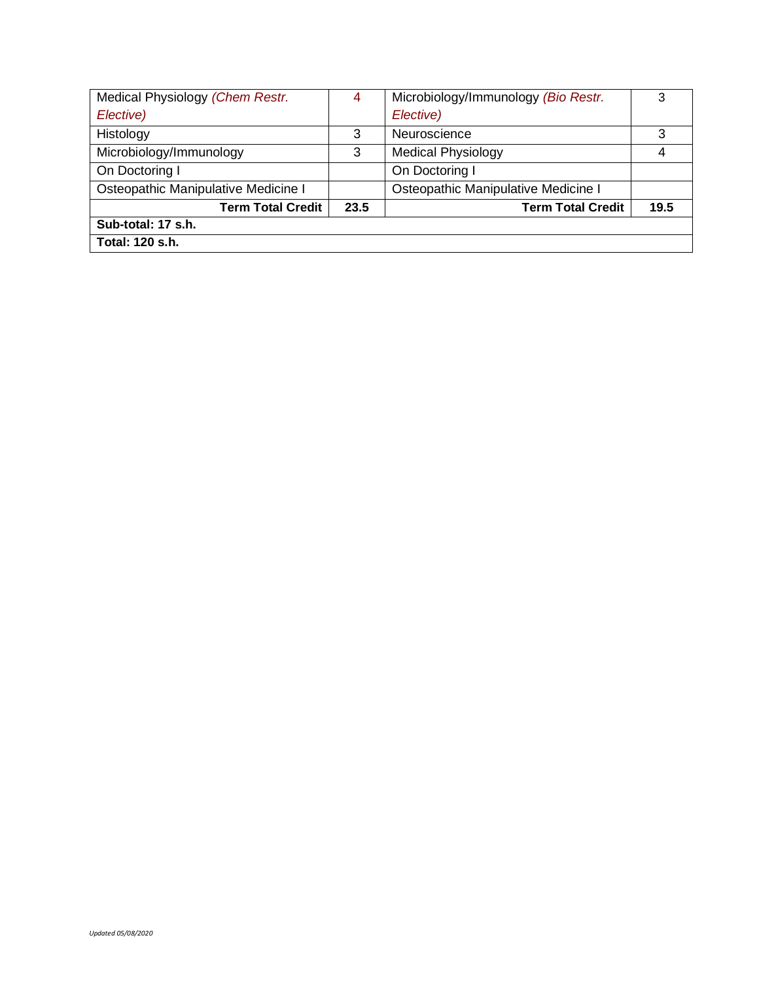| Medical Physiology (Chem Restr.     | 4    | Microbiology/Immunology (Bio Restr. | 3    |
|-------------------------------------|------|-------------------------------------|------|
| Elective)                           |      | Elective)                           |      |
| Histology                           | 3    | Neuroscience                        | 3    |
| Microbiology/Immunology             | 3    | <b>Medical Physiology</b>           | 4    |
| On Doctoring I                      |      | On Doctoring I                      |      |
| Osteopathic Manipulative Medicine I |      | Osteopathic Manipulative Medicine I |      |
| <b>Term Total Credit</b>            | 23.5 | <b>Term Total Credit</b>            | 19.5 |
| Sub-total: 17 s.h.                  |      |                                     |      |
| Total: 120 s.h.                     |      |                                     |      |